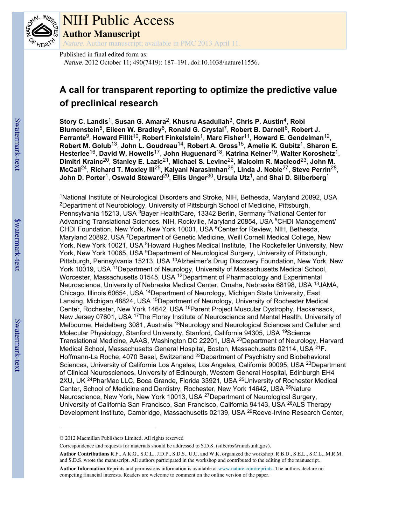

# NIH Public Access

**Author Manuscript**

Nature. Author manuscript; available in PMC 2013 April 11.

Published in final edited form as: Nature. 2012 October 11; 490(7419): 187–191. doi:10.1038/nature11556.

# **A call for transparent reporting to optimize the predictive value of preclinical research**

**Story C. Landis**1, **Susan G. Amara**2, **Khusru Asadullah**3, **Chris P. Austin**4, **Robi Blumenstein**5, **Eileen W. Bradley**6, **Ronald G. Crystal**7, **Robert B. Darnell**8, **Robert J. Ferrante**9, **Howard Fillit**10, **Robert Finkelstein**1, **Marc Fisher**11, **Howard E. Gendelman**12, **Robert M. Golub**13, **John L. Goudreau**14, **Robert A. Gross**15, **Amelie K. Gubitz**1, **Sharon E. Hesterlee**16, **David W. Howells**17, **John Huguenard**18, **Katrina Kelner**19, **Walter Koroshetz**1, **Dimitri Krainc**20, **Stanley E. Lazic**21, **Michael S. Levine**22, **Malcolm R. Macleod**23, **John M. McCall**24, **Richard T. Moxley III**25, **Kalyani Narasimhan**26, **Linda J. Noble**27, **Steve Perrin**28, **John D. Porter**1, **Oswald Steward**29, **Ellis Unger**30, **Ursula Utz**1, and **Shai D. Silberberg**<sup>1</sup>

<sup>1</sup>National Institute of Neurological Disorders and Stroke, NIH, Bethesda, Maryland 20892, USA 2Department of Neurobiology, University of Pittsburgh School of Medicine, Pittsburgh, Pennsylvania 15213, USA <sup>3</sup>Bayer HealthCare, 13342 Berlin, Germany <sup>4</sup>National Center for Advancing Translational Sciences, NIH, Rockville, Maryland 20854, USA <sup>5</sup>CHDI Management/ CHDI Foundation, New York, New York 10001, USA <sup>6</sup>Center for Review, NIH, Bethesda, Maryland 20892, USA <sup>7</sup>Department of Genetic Medicine, Weill Cornell Medical College, New York, New York 10021, USA <sup>8</sup>Howard Hughes Medical Institute, The Rockefeller University, New York, New York 10065, USA <sup>9</sup>Department of Neurological Surgery, University of Pittsburgh, Pittsburgh, Pennsylvania 15213, USA <sup>10</sup>Alzheimer's Drug Discovery Foundation, New York, New York 10019, USA <sup>11</sup>Department of Neurology, University of Massachusetts Medical School, Worcester, Massachusetts 01545, USA <sup>12</sup>Department of Pharmacology and Experimental Neuroscience, University of Nebraska Medical Center, Omaha, Nebraska 68198, USA 13JAMA, Chicago, Illinois 60654, USA 14Department of Neurology, Michigan State University, East Lansing, Michigan 48824, USA <sup>15</sup>Department of Neurology, University of Rochester Medical Center, Rochester, New York 14642, USA <sup>16</sup>Parent Project Muscular Dystrophy, Hackensack, New Jersey 07601, USA <sup>17</sup>The Florey Institute of Neuroscience and Mental Health, University of Melbourne, Heidelberg 3081, Australia <sup>18</sup>Neurology and Neurological Sciences and Cellular and Molecular Physiology, Stanford University, Stanford, California 94305, USA <sup>19</sup>Science Translational Medicine, AAAS, Washington DC 22201, USA <sup>20</sup>Department of Neurology, Harvard Medical School, Massachusetts General Hospital, Boston, Massachusetts 02114, USA 21F. Hoffmann-La Roche, 4070 Basel, Switzerland <sup>22</sup>Department of Psychiatry and Biobehavioral Sciences, University of California Los Angeles, Los Angeles, California 90095, USA <sup>23</sup>Department of Clinical Neurosciences, University of Edinburgh, Western General Hospital, Edinburgh EH4 2XU, UK<sup>24</sup>PharMac LLC, Boca Grande, Florida 33921, USA<sup>25</sup>University of Rochester Medical Center, School of Medicine and Dentistry, Rochester, New York 14642, USA <sup>26</sup>Nature Neuroscience, New York, New York 10013, USA 27Department of Neurological Surgery, University of California San Francisco, San Francisco, California 94143, USA <sup>28</sup>ALS Therapy Development Institute, Cambridge, Massachusetts 02139, USA <sup>29</sup>Reeve-Irvine Research Center,

Correspondence and requests for materials should be addressed to S.D.S. (silberbs@ninds.nih.gov).

**Author Contributions** R.F., A.K.G., S.C.L., J.D.P., S.D.S., U.U. and W.K. organized the workshop. R.B.D., S.E.L., S.C.L., M.R.M. and S.D.S. wrote the manuscript. All authors participated in the workshop and contributed to the editing of the manuscript.

<sup>© 2012</sup> Macmillan Publishers Limited. All rights reserved

**Author Information** Reprints and permissions information is available at www.nature.com/reprints. The authors declare no competing financial interests. Readers are welcome to comment on the online version of the paper.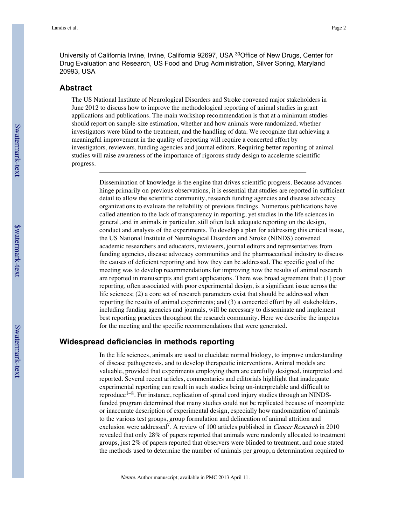University of California Irvine, Irvine, California 92697, USA <sup>30</sup>Office of New Drugs, Center for Drug Evaluation and Research, US Food and Drug Administration, Silver Spring, Maryland 20993, USA

# **Abstract**

The US National Institute of Neurological Disorders and Stroke convened major stakeholders in June 2012 to discuss how to improve the methodological reporting of animal studies in grant applications and publications. The main workshop recommendation is that at a minimum studies should report on sample-size estimation, whether and how animals were randomized, whether investigators were blind to the treatment, and the handling of data. We recognize that achieving a meaningful improvement in the quality of reporting will require a concerted effort by investigators, reviewers, funding agencies and journal editors. Requiring better reporting of animal studies will raise awareness of the importance of rigorous study design to accelerate scientific progress.

> Dissemination of knowledge is the engine that drives scientific progress. Because advances hinge primarily on previous observations, it is essential that studies are reported in sufficient detail to allow the scientific community, research funding agencies and disease advocacy organizations to evaluate the reliability of previous findings. Numerous publications have called attention to the lack of transparency in reporting, yet studies in the life sciences in general, and in animals in particular, still often lack adequate reporting on the design, conduct and analysis of the experiments. To develop a plan for addressing this critical issue, the US National Institute of Neurological Disorders and Stroke (NINDS) convened academic researchers and educators, reviewers, journal editors and representatives from funding agencies, disease advocacy communities and the pharmaceutical industry to discuss the causes of deficient reporting and how they can be addressed. The specific goal of the meeting was to develop recommendations for improving how the results of animal research are reported in manuscripts and grant applications. There was broad agreement that: (1) poor reporting, often associated with poor experimental design, is a significant issue across the life sciences; (2) a core set of research parameters exist that should be addressed when reporting the results of animal experiments; and (3) a concerted effort by all stakeholders, including funding agencies and journals, will be necessary to disseminate and implement best reporting practices throughout the research community. Here we describe the impetus for the meeting and the specific recommendations that were generated.

# **Widespread deficiencies in methods reporting**

In the life sciences, animals are used to elucidate normal biology, to improve understanding of disease pathogenesis, and to develop therapeutic interventions. Animal models are valuable, provided that experiments employing them are carefully designed, interpreted and reported. Several recent articles, commentaries and editorials highlight that inadequate experimental reporting can result in such studies being un-interpretable and difficult to reproduce<sup>1–8</sup>. For instance, replication of spinal cord injury studies through an NINDSfunded program determined that many studies could not be replicated because of incomplete or inaccurate description of experimental design, especially how randomization of animals to the various test groups, group formulation and delineation of animal attrition and exclusion were addressed<sup>7</sup>. A review of 100 articles published in *Cancer Research* in 2010 revealed that only 28% of papers reported that animals were randomly allocated to treatment groups, just 2% of papers reported that observers were blinded to treatment, and none stated the methods used to determine the number of animals per group, a determination required to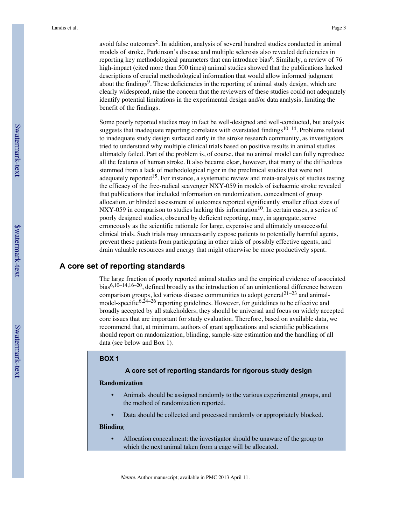avoid false outcomes<sup>2</sup>. In addition, analysis of several hundred studies conducted in animal models of stroke, Parkinson's disease and multiple sclerosis also revealed deficiencies in reporting key methodological parameters that can introduce bias<sup>6</sup>. Similarly, a review of 76 high-impact (cited more than 500 times) animal studies showed that the publications lacked descriptions of crucial methodological information that would allow informed judgment about the findings<sup>9</sup>. These deficiencies in the reporting of animal study design, which are clearly widespread, raise the concern that the reviewers of these studies could not adequately identify potential limitations in the experimental design and/or data analysis, limiting the benefit of the findings.

Some poorly reported studies may in fact be well-designed and well-conducted, but analysis suggests that inadequate reporting correlates with overstated findings<sup>10–14</sup>. Problems related to inadequate study design surfaced early in the stroke research community, as investigators tried to understand why multiple clinical trials based on positive results in animal studies ultimately failed. Part of the problem is, of course, that no animal model can fully reproduce all the features of human stroke. It also became clear, however, that many of the difficulties stemmed from a lack of methodological rigor in the preclinical studies that were not adequately reported<sup>15</sup>. For instance, a systematic review and meta-analysis of studies testing the efficacy of the free-radical scavenger NXY-059 in models of ischaemic stroke revealed that publications that included information on randomization, concealment of group allocation, or blinded assessment of outcomes reported significantly smaller effect sizes of NXY-059 in comparison to studies lacking this information<sup>10</sup>. In certain cases, a series of poorly designed studies, obscured by deficient reporting, may, in aggregate, serve erroneously as the scientific rationale for large, expensive and ultimately unsuccessful clinical trials. Such trials may unnecessarily expose patients to potentially harmful agents, prevent these patients from participating in other trials of possibly effective agents, and drain valuable resources and energy that might otherwise be more productively spent.

# **A core set of reporting standards**

The large fraction of poorly reported animal studies and the empirical evidence of associated  $bias^{6,10-14,16-20}$ , defined broadly as the introduction of an unintentional difference between comparison groups, led various disease communities to adopt general $21-23$  and animalmodel-specific<sup>6,24–26</sup> reporting guidelines. However, for guidelines to be effective and broadly accepted by all stakeholders, they should be universal and focus on widely accepted core issues that are important for study evaluation. Therefore, based on available data, we recommend that, at minimum, authors of grant applications and scientific publications should report on randomization, blinding, sample-size estimation and the handling of all data (see below and Box 1).

# **BOX 1**

# **A core set of reporting standards for rigorous study design**

# **Randomization**

- **•** Animals should be assigned randomly to the various experimental groups, and the method of randomization reported.
- **•** Data should be collected and processed randomly or appropriately blocked.

# **Blinding**

**•** Allocation concealment: the investigator should be unaware of the group to which the next animal taken from a cage will be allocated.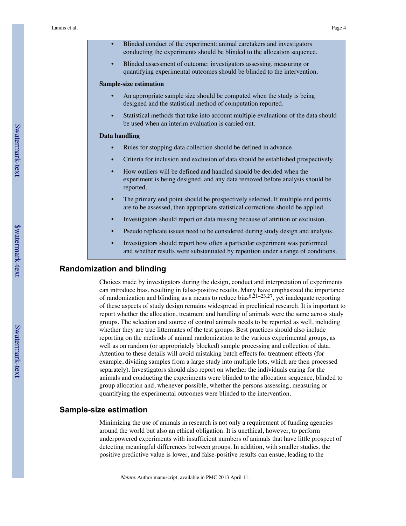- **•** Blinded conduct of the experiment: animal caretakers and investigators conducting the experiments should be blinded to the allocation sequence.
- **•** Blinded assessment of outcome: investigators assessing, measuring or quantifying experimental outcomes should be blinded to the intervention.

#### **Sample-size estimation**

- **•** An appropriate sample size should be computed when the study is being designed and the statistical method of computation reported.
- **•** Statistical methods that take into account multiple evaluations of the data should be used when an interim evaluation is carried out.

#### **Data handling**

- **•** Rules for stopping data collection should be defined in advance.
- **•** Criteria for inclusion and exclusion of data should be established prospectively.
- **•** How outliers will be defined and handled should be decided when the experiment is being designed, and any data removed before analysis should be reported.
- **•** The primary end point should be prospectively selected. If multiple end points are to be assessed, then appropriate statistical corrections should be applied.
- **•** Investigators should report on data missing because of attrition or exclusion.
- **•** Pseudo replicate issues need to be considered during study design and analysis.
- **•** Investigators should report how often a particular experiment was performed and whether results were substantiated by repetition under a range of conditions.

# **Randomization and blinding**

Choices made by investigators during the design, conduct and interpretation of experiments can introduce bias, resulting in false-positive results. Many have emphasized the importance of randomization and blinding as a means to reduce bias<sup>6,21–23,27</sup>, yet inadequate reporting of these aspects of study design remains widespread in preclinical research. It is important to report whether the allocation, treatment and handling of animals were the same across study groups. The selection and source of control animals needs to be reported as well, including whether they are true littermates of the test groups. Best practices should also include reporting on the methods of animal randomization to the various experimental groups, as well as on random (or appropriately blocked) sample processing and collection of data. Attention to these details will avoid mistaking batch effects for treatment effects (for example, dividing samples from a large study into multiple lots, which are then processed separately). Investigators should also report on whether the individuals caring for the animals and conducting the experiments were blinded to the allocation sequence, blinded to group allocation and, whenever possible, whether the persons assessing, measuring or quantifying the experimental outcomes were blinded to the intervention.

# **Sample-size estimation**

Minimizing the use of animals in research is not only a requirement of funding agencies around the world but also an ethical obligation. It is unethical, however, to perform underpowered experiments with insufficient numbers of animals that have little prospect of detecting meaningful differences between groups. In addition, with smaller studies, the positive predictive value is lower, and false-positive results can ensue, leading to the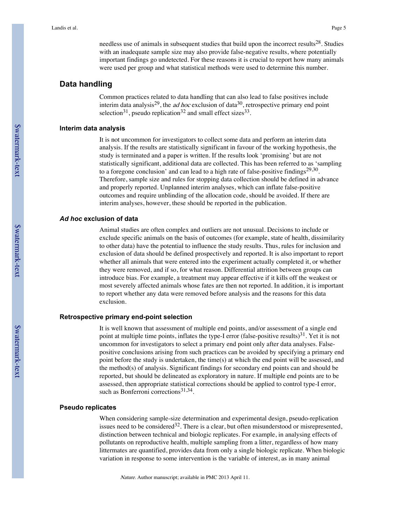needless use of animals in subsequent studies that build upon the incorrect results<sup>28</sup>. Studies with an inadequate sample size may also provide false-negative results, where potentially important findings go undetected. For these reasons it is crucial to report how many animals were used per group and what statistical methods were used to determine this number.

# **Data handling**

Common practices related to data handling that can also lead to false positives include interim data analysis<sup>29</sup>, the *ad hoc* exclusion of data<sup>30</sup>, retrospective primary end point selection<sup>31</sup>, pseudo replication<sup>32</sup> and small effect sizes<sup>33</sup>.

#### **Interim data analysis**

It is not uncommon for investigators to collect some data and perform an interim data analysis. If the results are statistically significant in favour of the working hypothesis, the study is terminated and a paper is written. If the results look 'promising' but are not statistically significant, additional data are collected. This has been referred to as 'sampling to a foregone conclusion' and can lead to a high rate of false-positive findings<sup>29,30</sup>. Therefore, sample size and rules for stopping data collection should be defined in advance and properly reported. Unplanned interim analyses, which can inflate false-positive outcomes and require unblinding of the allocation code, should be avoided. If there are interim analyses, however, these should be reported in the publication.

#### *Ad hoc* **exclusion of data**

Animal studies are often complex and outliers are not unusual. Decisions to include or exclude specific animals on the basis of outcomes (for example, state of health, dissimilarity to other data) have the potential to influence the study results. Thus, rules for inclusion and exclusion of data should be defined prospectively and reported. It is also important to report whether all animals that were entered into the experiment actually completed it, or whether they were removed, and if so, for what reason. Differential attrition between groups can introduce bias. For example, a treatment may appear effective if it kills off the weakest or most severely affected animals whose fates are then not reported. In addition, it is important to report whether any data were removed before analysis and the reasons for this data exclusion.

#### **Retrospective primary end-point selection**

It is well known that assessment of multiple end points, and/or assessment of a single end point at multiple time points, inflates the type-I error (false-positive results) $31$ . Yet it is not uncommon for investigators to select a primary end point only after data analyses. Falsepositive conclusions arising from such practices can be avoided by specifying a primary end point before the study is undertaken, the time(s) at which the end point will be assessed, and the method(s) of analysis. Significant findings for secondary end points can and should be reported, but should be delineated as exploratory in nature. If multiple end points are to be assessed, then appropriate statistical corrections should be applied to control type-I error, such as Bonferroni corrections  $31,34$ .

#### **Pseudo replicates**

When considering sample-size determination and experimental design, pseudo-replication issues need to be considered<sup>32</sup>. There is a clear, but often misunderstood or misrepresented, distinction between technical and biologic replicates. For example, in analysing effects of pollutants on reproductive health, multiple sampling from a litter, regardless of how many littermates are quantified, provides data from only a single biologic replicate. When biologic variation in response to some intervention is the variable of interest, as in many animal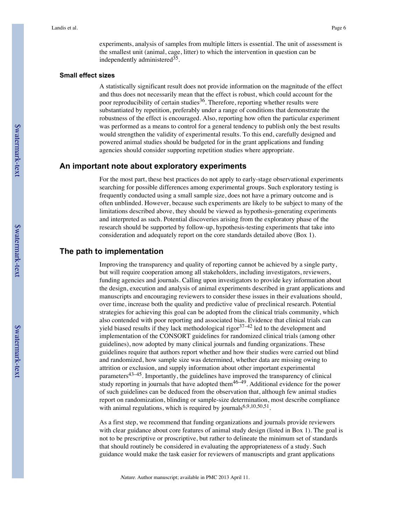experiments, analysis of samples from multiple litters is essential. The unit of assessment is the smallest unit (animal, cage, litter) to which the intervention in question can be independently administered<sup>35</sup>.

#### **Small effect sizes**

A statistically significant result does not provide information on the magnitude of the effect and thus does not necessarily mean that the effect is robust, which could account for the poor reproducibility of certain studies $36$ . Therefore, reporting whether results were substantiated by repetition, preferably under a range of conditions that demonstrate the robustness of the effect is encouraged. Also, reporting how often the particular experiment was performed as a means to control for a general tendency to publish only the best results would strengthen the validity of experimental results. To this end, carefully designed and powered animal studies should be budgeted for in the grant applications and funding agencies should consider supporting repetition studies where appropriate.

#### **An important note about exploratory experiments**

For the most part, these best practices do not apply to early-stage observational experiments searching for possible differences among experimental groups. Such exploratory testing is frequently conducted using a small sample size, does not have a primary outcome and is often unblinded. However, because such experiments are likely to be subject to many of the limitations described above, they should be viewed as hypothesis-generating experiments and interpreted as such. Potential discoveries arising from the exploratory phase of the research should be supported by follow-up, hypothesis-testing experiments that take into consideration and adequately report on the core standards detailed above (Box 1).

# **The path to implementation**

Improving the transparency and quality of reporting cannot be achieved by a single party, but will require cooperation among all stakeholders, including investigators, reviewers, funding agencies and journals. Calling upon investigators to provide key information about the design, execution and analysis of animal experiments described in grant applications and manuscripts and encouraging reviewers to consider these issues in their evaluations should, over time, increase both the quality and predictive value of preclinical research. Potential strategies for achieving this goal can be adopted from the clinical trials community, which also contended with poor reporting and associated bias. Evidence that clinical trials can yield biased results if they lack methodological rigor  $37-42$  led to the development and implementation of the CONSORT guidelines for randomized clinical trials (among other guidelines), now adopted by many clinical journals and funding organizations. These guidelines require that authors report whether and how their studies were carried out blind and randomized, how sample size was determined, whether data are missing owing to attrition or exclusion, and supply information about other important experimental parameters43–45. Importantly, the guidelines have improved the transparency of clinical study reporting in journals that have adopted them<sup>46–49</sup>. Additional evidence for the power of such guidelines can be deduced from the observation that, although few animal studies report on randomization, blinding or sample-size determination, most describe compliance with animal regulations, which is required by journals $6,9,10,50,51$ .

As a first step, we recommend that funding organizations and journals provide reviewers with clear guidance about core features of animal study design (listed in Box 1). The goal is not to be prescriptive or proscriptive, but rather to delineate the minimum set of standards that should routinely be considered in evaluating the appropriateness of a study. Such guidance would make the task easier for reviewers of manuscripts and grant applications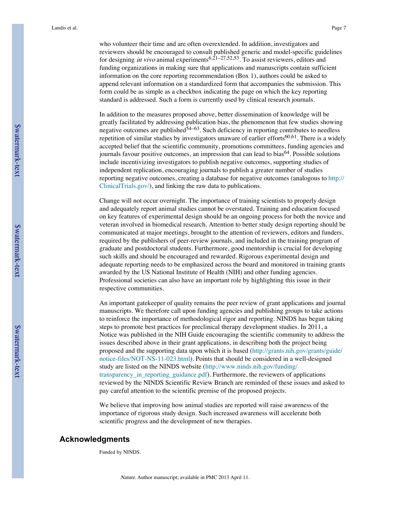who volunteer their time and are often overextended. In addition, investigators and reviewers should be encouraged to consult published generic and model-specific guidelines for designing *in vivo* animal experiments<sup>6,21–27,52,53</sup>. To assist reviewers, editors and funding organizations in making sure that applications and manuscripts contain sufficient information on the core reporting recommendation (Box 1), authors could be asked to append relevant information on a standardized form that accompanies the submission. This form could be as simple as a checkbox indicating the page on which the key reporting standard is addressed. Such a form is currently used by clinical research journals.

In addition to the measures proposed above, better dissemination of knowledge will be greatly facilitated by addressing publication bias, the phenomenon that few studies showing negative outcomes are published $54-63$ . Such deficiency in reporting contributes to needless repetition of similar studies by investigators unaware of earlier efforts<sup>60,61</sup>. There is a widely accepted belief that the scientific community, promotions committees, funding agencies and journals favour positive outcomes, an impression that can lead to bias<sup>64</sup>. Possible solutions include incentivizing investigators to publish negative outcomes, supporting studies of independent replication, encouraging journals to publish a greater number of studies reporting negative outcomes, creating a database for negative outcomes (analogous to http:// ClinicalTrials.gov/), and linking the raw data to publications.

Change will not occur overnight. The importance of training scientists to properly design and adequately report animal studies cannot be overstated. Training and education focused on key features of experimental design should be an ongoing process for both the novice and veteran involved in biomedical research. Attention to better study design reporting should be communicated at major meetings, brought to the attention of reviewers, editors and funders, required by the publishers of peer-review journals, and included in the training program of graduate and postdoctoral students. Furthermore, good mentorship is crucial for developing such skills and should be encouraged and rewarded. Rigorous experimental design and adequate reporting needs to be emphasized across the board and monitored in training grants awarded by the US National Institute of Health (NIH) and other funding agencies. Professional societies can also have an important role by highlighting this issue in their respective communities.

An important gatekeeper of quality remains the peer review of grant applications and journal manuscripts. We therefore call upon funding agencies and publishing groups to take actions to reinforce the importance of methodological rigor and reporting. NINDS has begun taking steps to promote best practices for preclinical therapy development studies. In 2011, a Notice was published in the NIH Guide encouraging the scientific community to address the issues described above in their grant applications, in describing both the project being proposed and the supporting data upon which it is based (http://grants.nih.gov/grants/guide/ notice-files/NOT-NS-11-023.html). Points that should be considered in a well-designed study are listed on the NINDS website (http://www.ninds.nih.gov/funding/ transparency\_in\_reporting\_guidance.pdf). Furthermore, the reviewers of applications reviewed by the NINDS Scientific Review Branch are reminded of these issues and asked to pay careful attention to the scientific premise of the proposed projects.

We believe that improving how animal studies are reported will raise awareness of the importance of rigorous study design. Such increased awareness will accelerate both scientific progress and the development of new therapies.

# **Acknowledgments**

Funded by NINDS.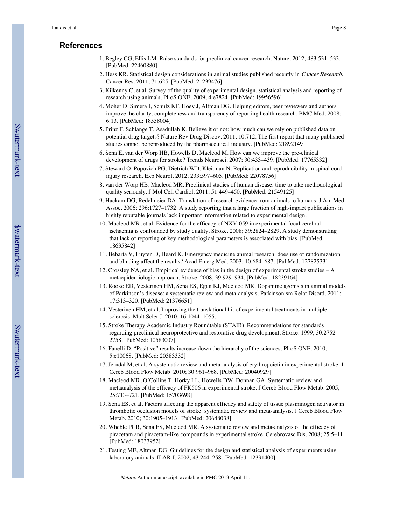# **References**

- 1. Begley CG, Ellis LM. Raise standards for preclinical cancer research. Nature. 2012; 483:531–533. [PubMed: 22460880]
- 2. Hess KR. Statistical design considerations in animal studies published recently in Cancer Research. Cancer Res. 2011; 71:625. [PubMed: 21239476]
- 3. Kilkenny C, et al. Survey of the quality of experimental design, statistical analysis and reporting of research using animals. PLoS ONE. 2009; 4:e7824. [PubMed: 19956596]
- 4. Moher D, Simera I, Schulz KF, Hoey J, Altman DG. Helping editors, peer reviewers and authors improve the clarity, completeness and transparency of reporting health research. BMC Med. 2008; 6:13. [PubMed: 18558004]
- 5. Prinz F, Schlange T, Asadullah K. Believe it or not: how much can we rely on published data on potential drug targets? Nature Rev Drug Discov. 2011; 10:712. The first report that many published studies cannot be reproduced by the pharmaceutical industry. [PubMed: 21892149]
- 6. Sena E, van der Worp HB, Howells D, Macleod M. How can we improve the pre-clinical development of drugs for stroke? Trends Neurosci. 2007; 30:433–439. [PubMed: 17765332]
- 7. Steward O, Popovich PG, Dietrich WD, Kleitman N. Replication and reproducibility in spinal cord injury research. Exp Neurol. 2012; 233:597–605. [PubMed: 22078756]
- 8. van der Worp HB, Macleod MR. Preclinical studies of human disease: time to take methodological quality seriously. J Mol Cell Cardiol. 2011; 51:449–450. [PubMed: 21549125]
- 9. Hackam DG, Redelmeier DA. Translation of research evidence from animals to humans. J Am Med Assoc. 2006; 296:1727–1732. A study reporting that a large fraction of high-impact publications in highly reputable journals lack important information related to experimental design.
- 10. Macleod MR, et al. Evidence for the efficacy of NXY-059 in experimental focal cerebral ischaemia is confounded by study quality. Stroke. 2008; 39:2824–2829. A study demonstrating that lack of reporting of key methodological parameters is associated with bias. [PubMed: 18635842]
- 11. Bebarta V, Luyten D, Heard K. Emergency medicine animal research: does use of randomization and blinding affect the results? Acad Emerg Med. 2003; 10:684–687. [PubMed: 12782533]
- 12. Crossley NA, et al. Empirical evidence of bias in the design of experimental stroke studies A metaepidemiologic approach. Stroke. 2008; 39:929–934. [PubMed: 18239164]
- 13. Rooke ED, Vesterinen HM, Sena ES, Egan KJ, Macleod MR. Dopamine agonists in animal models of Parkinson's disease: a systematic review and meta-analysis. Parkinsonism Relat Disord. 2011; 17:313–320. [PubMed: 21376651]
- 14. Vesterinen HM, et al. Improving the translational hit of experimental treatments in multiple sclerosis. Mult Scler J. 2010; 16:1044–1055.
- 15. Stroke Therapy Academic Industry Roundtable (STAIR). Recommendations for standards regarding preclinical neuroprotective and restorative drug development. Stroke. 1999; 30:2752– 2758. [PubMed: 10583007]
- 16. Fanelli D. "Positive" results increase down the hierarchy of the sciences. PLoS ONE. 2010; 5:e10068. [PubMed: 20383332]
- 17. Jerndal M, et al. A systematic review and meta-analysis of erythropoietin in experimental stroke. J Cereb Blood Flow Metab. 2010; 30:961–968. [PubMed: 20040929]
- 18. Macleod MR, O'Collins T, Horky LL, Howells DW, Donnan GA. Systematic review and metaanalysis of the efficacy of FK506 in experimental stroke. J Cereb Blood Flow Metab. 2005; 25:713–721. [PubMed: 15703698]
- 19. Sena ES, et al. Factors affecting the apparent efficacy and safety of tissue plasminogen activator in thrombotic occlusion models of stroke: systematic review and meta-analysis. J Cereb Blood Flow Metab. 2010; 30:1905–1913. [PubMed: 20648038]
- 20. Wheble PCR, Sena ES, Macleod MR. A systematic review and meta-analysis of the efficacy of piracetam and piracetam-like compounds in experimental stroke. Cerebrovasc Dis. 2008; 25:5–11. [PubMed: 18033952]
- 21. Festing MF, Altman DG. Guidelines for the design and statistical analysis of experiments using laboratory animals. ILAR J. 2002; 43:244–258. [PubMed: 12391400]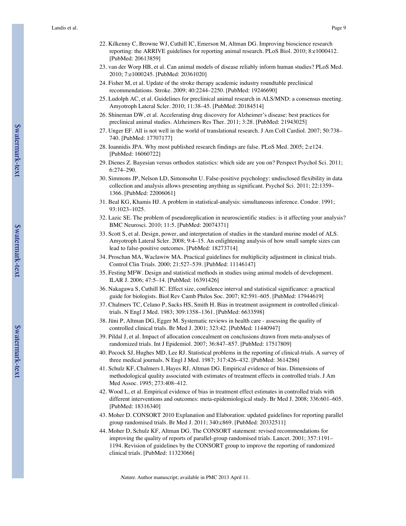- 22. Kilkenny C, Browne WJ, Cuthill IC, Emerson M, Altman DG. Improving bioscience research reporting: the ARRIVE guidelines for reporting animal research. PLoS Biol. 2010; 8:e1000412. [PubMed: 20613859]
- 23. van der Worp HB, et al. Can animal models of disease reliably inform human studies? PLoS Med. 2010; 7:e1000245. [PubMed: 20361020]
- 24. Fisher M, et al. Update of the stroke therapy academic industry roundtable preclinical recommendations. Stroke. 2009; 40:2244–2250. [PubMed: 19246690]
- 25. Ludolph AC, et al. Guidelines for preclinical animal research in ALS/MND: a consensus meeting. Amyotroph Lateral Scler. 2010; 11:38–45. [PubMed: 20184514]
- 26. Shineman DW, et al. Accelerating drug discovery for Alzheimer's disease: best practices for preclinical animal studies. Alzheimers Res Ther. 2011; 3:28. [PubMed: 21943025]
- 27. Unger EF. All is not well in the world of translational research. J Am Coll Cardiol. 2007; 50:738– 740. [PubMed: 17707177]
- 28. Ioannidis JPA. Why most published research findings are false. PLoS Med. 2005; 2:e124. [PubMed: 16060722]
- 29. Dienes Z. Bayesian versus orthodox statistics: which side are you on? Perspect Psychol Sci. 2011; 6:274–290.
- 30. Simmons JP, Nelson LD, Simonsohn U. False-positive psychology: undisclosed flexibility in data collection and analysis allows presenting anything as significant. Psychol Sci. 2011; 22:1359– 1366. [PubMed: 22006061]
- 31. Beal KG, Khamis HJ. A problem in statistical-analysis: simultaneous inference. Condor. 1991; 93:1023–1025.
- 32. Lazic SE. The problem of pseudoreplication in neuroscientific studies: is it affecting your analysis? BMC Neurosci. 2010; 11:5. [PubMed: 20074371]
- 33. Scott S, et al. Design, power, and interpretation of studies in the standard murine model of ALS. Amyotroph Lateral Scler. 2008; 9:4–15. An enlightening analysis of how small sample sizes can lead to false-positive outcomes. [PubMed: 18273714]
- 34. Proschan MA, Waclawiw MA. Practical guidelines for multiplicity adjustment in clinical trials. Control Clin Trials. 2000; 21:527–539. [PubMed: 11146147]
- 35. Festing MFW. Design and statistical methods in studies using animal models of development. ILAR J. 2006; 47:5–14. [PubMed: 16391426]
- 36. Nakagawa S, Cuthill IC. Effect size, confidence interval and statistical significance: a practical guide for biologists. Biol Rev Camb Philos Soc. 2007; 82:591–605. [PubMed: 17944619]
- 37. Chalmers TC, Celano P, Sacks HS, Smith H. Bias in treatment assignment in controlled clinicaltrials. N Engl J Med. 1983; 309:1358–1361. [PubMed: 6633598]
- 38. Jüni P, Altman DG, Egger M. Systematic reviews in health care assessing the quality of controlled clinical trials. Br Med J. 2001; 323:42. [PubMed: 11440947]
- 39. Pildal J, et al. Impact of allocation concealment on conclusions drawn from meta-analyses of randomized trials. Int J Epidemiol. 2007; 36:847–857. [PubMed: 17517809]
- 40. Pocock SJ, Hughes MD, Lee RJ. Statistical problems in the reporting of clinical-trials. A survey of three medical journals. N Engl J Med. 1987; 317:426–432. [PubMed: 3614286]
- 41. Schulz KF, Chalmers I, Hayes RJ, Altman DG. Empirical evidence of bias. Dimensions of methodological quality associated with estimates of treatment effects in controlled trials. J Am Med Assoc. 1995; 273:408–412.
- 42. Wood L, et al. Empirical evidence of bias in treatment effect estimates in controlled trials with different interventions and outcomes: meta-epidemiological study. Br Med J. 2008; 336:601–605. [PubMed: 18316340]
- 43. Moher D. CONSORT 2010 Explanation and Elaboration: updated guidelines for reporting parallel group randomised trials. Br Med J. 2011; 340:c869. [PubMed: 20332511]
- 44. Moher D, Schulz KF, Altman DG. The CONSORT statement: revised recommendations for improving the quality of reports of parallel-group randomised trials. Lancet. 2001; 357:1191– 1194. Revision of guidelines by the CONSORT group to improve the reporting of randomized clinical trials. [PubMed: 11323066]